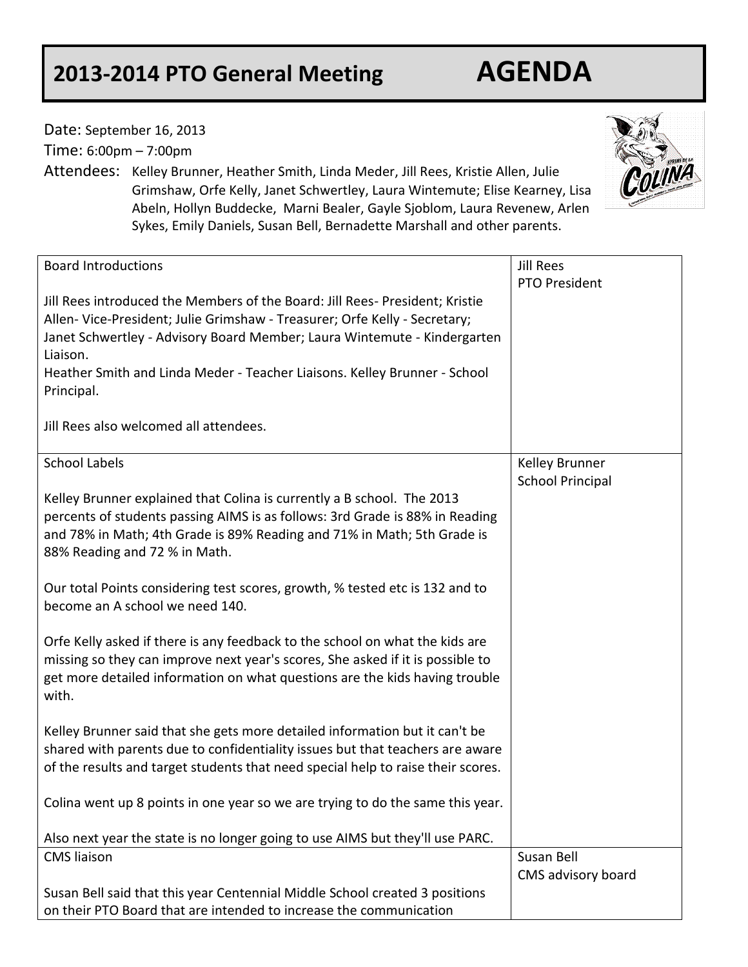## **2013-2014 PTO General Meeting AGENDA**

Date: September 16, 2013

Time: 6:00pm – 7:00pm

Attendees: Kelley Brunner, Heather Smith, Linda Meder, Jill Rees, Kristie Allen, Julie Grimshaw, Orfe Kelly, Janet Schwertley, Laura Wintemute; Elise Kearney, Lisa Abeln, Hollyn Buddecke, Marni Bealer, Gayle Sjoblom, Laura Revenew, Arlen Sykes, Emily Daniels, Susan Bell, Bernadette Marshall and other parents.



| <b>Board Introductions</b>                                                       | <b>Jill Rees</b>        |
|----------------------------------------------------------------------------------|-------------------------|
|                                                                                  | <b>PTO President</b>    |
| Jill Rees introduced the Members of the Board: Jill Rees- President; Kristie     |                         |
| Allen- Vice-President; Julie Grimshaw - Treasurer; Orfe Kelly - Secretary;       |                         |
| Janet Schwertley - Advisory Board Member; Laura Wintemute - Kindergarten         |                         |
| Liaison.                                                                         |                         |
| Heather Smith and Linda Meder - Teacher Liaisons. Kelley Brunner - School        |                         |
| Principal.                                                                       |                         |
|                                                                                  |                         |
| Jill Rees also welcomed all attendees.                                           |                         |
|                                                                                  |                         |
| <b>School Labels</b>                                                             | Kelley Brunner          |
|                                                                                  | <b>School Principal</b> |
| Kelley Brunner explained that Colina is currently a B school. The 2013           |                         |
| percents of students passing AIMS is as follows: 3rd Grade is 88% in Reading     |                         |
| and 78% in Math; 4th Grade is 89% Reading and 71% in Math; 5th Grade is          |                         |
| 88% Reading and 72 % in Math.                                                    |                         |
|                                                                                  |                         |
| Our total Points considering test scores, growth, % tested etc is 132 and to     |                         |
| become an A school we need 140.                                                  |                         |
|                                                                                  |                         |
| Orfe Kelly asked if there is any feedback to the school on what the kids are     |                         |
| missing so they can improve next year's scores, She asked if it is possible to   |                         |
| get more detailed information on what questions are the kids having trouble      |                         |
| with.                                                                            |                         |
|                                                                                  |                         |
| Kelley Brunner said that she gets more detailed information but it can't be      |                         |
| shared with parents due to confidentiality issues but that teachers are aware    |                         |
| of the results and target students that need special help to raise their scores. |                         |
|                                                                                  |                         |
| Colina went up 8 points in one year so we are trying to do the same this year.   |                         |
|                                                                                  |                         |
| Also next year the state is no longer going to use AIMS but they'll use PARC.    |                         |
| <b>CMS</b> liaison                                                               | Susan Bell              |
|                                                                                  | CMS advisory board      |
| Susan Bell said that this year Centennial Middle School created 3 positions      |                         |
| on their PTO Board that are intended to increase the communication               |                         |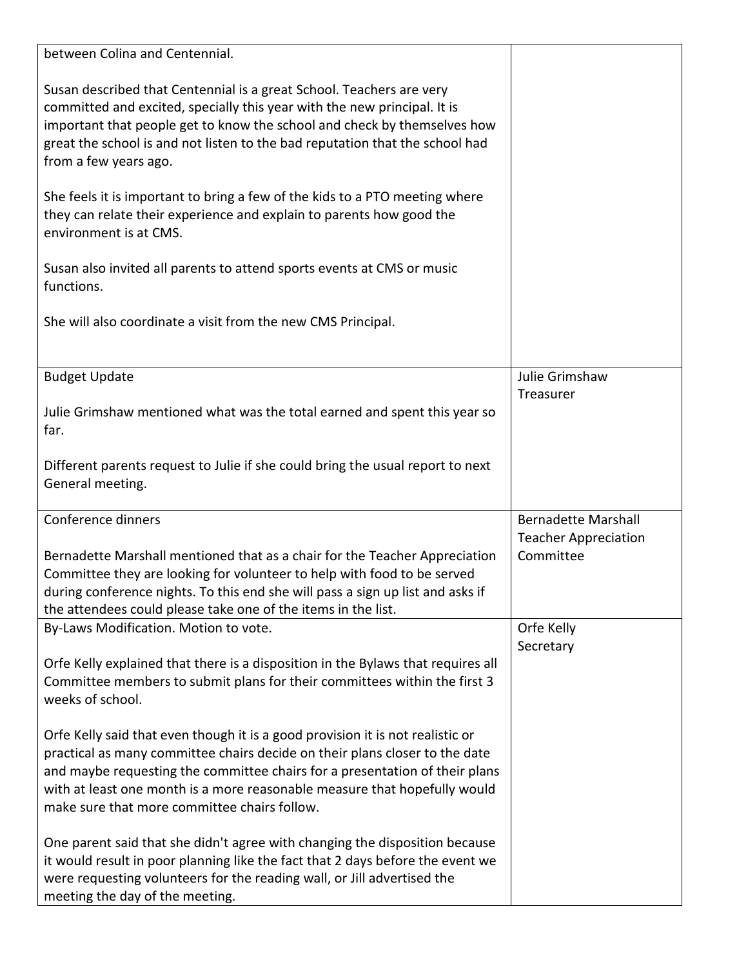| between Colina and Centennial.                                                                                                                                                                                                                                                                                                        |                             |
|---------------------------------------------------------------------------------------------------------------------------------------------------------------------------------------------------------------------------------------------------------------------------------------------------------------------------------------|-----------------------------|
| Susan described that Centennial is a great School. Teachers are very<br>committed and excited, specially this year with the new principal. It is<br>important that people get to know the school and check by themselves how<br>great the school is and not listen to the bad reputation that the school had<br>from a few years ago. |                             |
| She feels it is important to bring a few of the kids to a PTO meeting where<br>they can relate their experience and explain to parents how good the<br>environment is at CMS.                                                                                                                                                         |                             |
| Susan also invited all parents to attend sports events at CMS or music<br>functions.                                                                                                                                                                                                                                                  |                             |
| She will also coordinate a visit from the new CMS Principal.                                                                                                                                                                                                                                                                          |                             |
| <b>Budget Update</b>                                                                                                                                                                                                                                                                                                                  | Julie Grimshaw              |
|                                                                                                                                                                                                                                                                                                                                       | Treasurer                   |
| Julie Grimshaw mentioned what was the total earned and spent this year so<br>far.                                                                                                                                                                                                                                                     |                             |
| Different parents request to Julie if she could bring the usual report to next                                                                                                                                                                                                                                                        |                             |
| General meeting.                                                                                                                                                                                                                                                                                                                      |                             |
| Conference dinners                                                                                                                                                                                                                                                                                                                    | <b>Bernadette Marshall</b>  |
|                                                                                                                                                                                                                                                                                                                                       | <b>Teacher Appreciation</b> |
| Bernadette Marshall mentioned that as a chair for the Teacher Appreciation                                                                                                                                                                                                                                                            | Committee                   |
| Committee they are looking for volunteer to help with food to be served                                                                                                                                                                                                                                                               |                             |
| during conference nights. To this end she will pass a sign up list and asks if<br>the attendees could please take one of the items in the list.                                                                                                                                                                                       |                             |
| By-Laws Modification. Motion to vote.                                                                                                                                                                                                                                                                                                 | Orfe Kelly                  |
|                                                                                                                                                                                                                                                                                                                                       | Secretary                   |
| Orfe Kelly explained that there is a disposition in the Bylaws that requires all                                                                                                                                                                                                                                                      |                             |
| Committee members to submit plans for their committees within the first 3<br>weeks of school.                                                                                                                                                                                                                                         |                             |
| Orfe Kelly said that even though it is a good provision it is not realistic or                                                                                                                                                                                                                                                        |                             |
| practical as many committee chairs decide on their plans closer to the date                                                                                                                                                                                                                                                           |                             |
| and maybe requesting the committee chairs for a presentation of their plans                                                                                                                                                                                                                                                           |                             |
| with at least one month is a more reasonable measure that hopefully would                                                                                                                                                                                                                                                             |                             |
| make sure that more committee chairs follow.                                                                                                                                                                                                                                                                                          |                             |
| One parent said that she didn't agree with changing the disposition because<br>it would result in poor planning like the fact that 2 days before the event we<br>were requesting volunteers for the reading wall, or Jill advertised the<br>meeting the day of the meeting.                                                           |                             |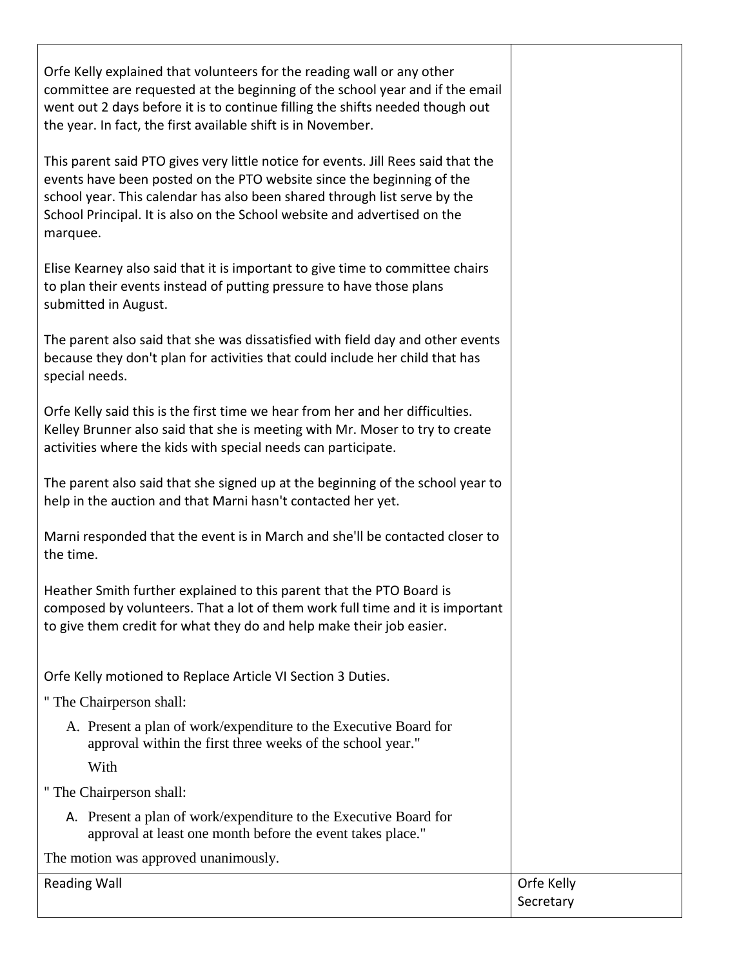Orfe Kelly explained that volunteers for the reading wall or any other committee are requested at the beginning of the school year and if the email went out 2 days before it is to continue filling the shifts needed though out the year. In fact, the first available shift is in November.

This parent said PTO gives very little notice for events. Jill Rees said that the events have been posted on the PTO website since the beginning of the school year. This calendar has also been shared through list serve by the School Principal. It is also on the School website and advertised on the marquee.

Elise Kearney also said that it is important to give time to committee chairs to plan their events instead of putting pressure to have those plans submitted in August.

The parent also said that she was dissatisfied with field day and other events because they don't plan for activities that could include her child that has special needs.

Orfe Kelly said this is the first time we hear from her and her difficulties. Kelley Brunner also said that she is meeting with Mr. Moser to try to create activities where the kids with special needs can participate.

The parent also said that she signed up at the beginning of the school year to help in the auction and that Marni hasn't contacted her yet.

Marni responded that the event is in March and she'll be contacted closer to the time.

Heather Smith further explained to this parent that the PTO Board is composed by volunteers. That a lot of them work full time and it is important to give them credit for what they do and help make their job easier.

Orfe Kelly motioned to Replace Article VI Section 3 Duties.

" The Chairperson shall:

A. Present a plan of work/expenditure to the Executive Board for approval within the first three weeks of the school year." With

" The Chairperson shall:

A. Present a plan of work/expenditure to the Executive Board for approval at least one month before the event takes place."

The motion was approved unanimously.

| <b>Reading Wall</b> | Orfe Kelly |
|---------------------|------------|
|---------------------|------------|